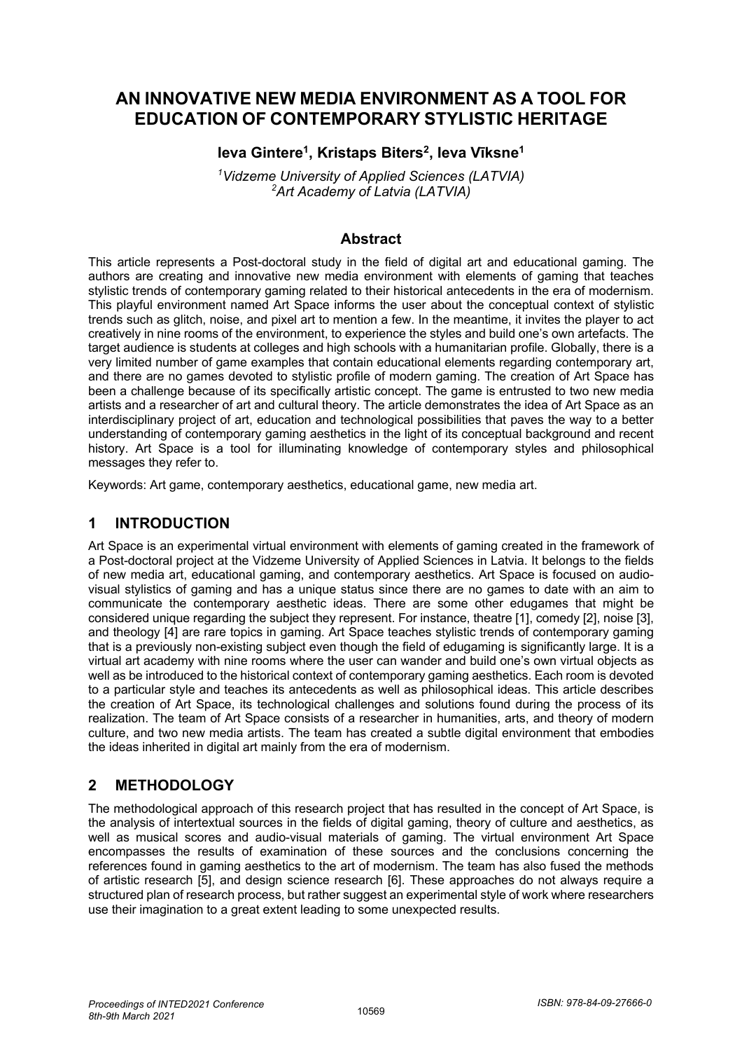# **AN INNOVATIVE NEW MEDIA ENVIRONMENT AS A TOOL FOR EDUCATION OF CONTEMPORARY STYLISTIC HERITAGE**

## **Ieva Gintere1, Kristaps Biters2, Ieva Vīksne1**

*1 Vidzeme University of Applied Sciences (LATVIA) 2 Art Academy of Latvia (LATVIA)*

## **Abstract**

This article represents a Post-doctoral study in the field of digital art and educational gaming. The authors are creating and innovative new media environment with elements of gaming that teaches stylistic trends of contemporary gaming related to their historical antecedents in the era of modernism. This playful environment named Art Space informs the user about the conceptual context of stylistic trends such as glitch, noise, and pixel art to mention a few. In the meantime, it invites the player to act creatively in nine rooms of the environment, to experience the styles and build one's own artefacts. The target audience is students at colleges and high schools with a humanitarian profile. Globally, there is a very limited number of game examples that contain educational elements regarding contemporary art, and there are no games devoted to stylistic profile of modern gaming. The creation of Art Space has been a challenge because of its specifically artistic concept. The game is entrusted to two new media artists and a researcher of art and cultural theory. The article demonstrates the idea of Art Space as an interdisciplinary project of art, education and technological possibilities that paves the way to a better understanding of contemporary gaming aesthetics in the light of its conceptual background and recent history. Art Space is a tool for illuminating knowledge of contemporary styles and philosophical messages they refer to.

Keywords: Art game, contemporary aesthetics, educational game, new media art.

## **1 INTRODUCTION**

Art Space is an experimental virtual environment with elements of gaming created in the framework of a Post-doctoral project at the Vidzeme University of Applied Sciences in Latvia. It belongs to the fields of new media art, educational gaming, and contemporary aesthetics. Art Space is focused on audiovisual stylistics of gaming and has a unique status since there are no games to date with an aim to communicate the contemporary aesthetic ideas. There are some other edugames that might be considered unique regarding the subject they represent. For instance, theatre [1], comedy [2], noise [3], and theology [4] are rare topics in gaming. Art Space teaches stylistic trends of contemporary gaming that is a previously non-existing subject even though the field of edugaming is significantly large. It is a virtual art academy with nine rooms where the user can wander and build one's own virtual objects as well as be introduced to the historical context of contemporary gaming aesthetics. Each room is devoted to a particular style and teaches its antecedents as well as philosophical ideas. This article describes the creation of Art Space, its technological challenges and solutions found during the process of its realization. The team of Art Space consists of a researcher in humanities, arts, and theory of modern culture, and two new media artists. The team has created a subtle digital environment that embodies the ideas inherited in digital art mainly from the era of modernism.

# **2 METHODOLOGY**

The methodological approach of this research project that has resulted in the concept of Art Space, is the analysis of intertextual sources in the fields of digital gaming, theory of culture and aesthetics, as well as musical scores and audio-visual materials of gaming. The virtual environment Art Space encompasses the results of examination of these sources and the conclusions concerning the references found in gaming aesthetics to the art of modernism. The team has also fused the methods of artistic research [5], and design science research [6]. These approaches do not always require a structured plan of research process, but rather suggest an experimental style of work where researchers use their imagination to a great extent leading to some unexpected results.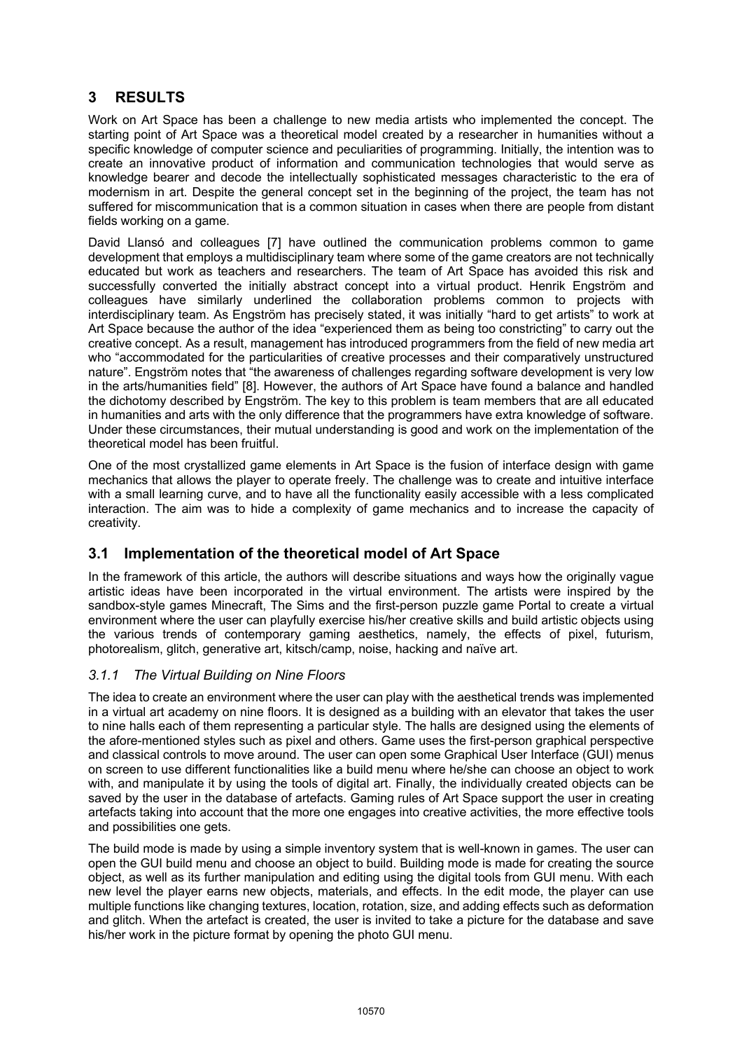# **3 RESULTS**

Work on Art Space has been a challenge to new media artists who implemented the concept. The starting point of Art Space was a theoretical model created by a researcher in humanities without a specific knowledge of computer science and peculiarities of programming. Initially, the intention was to create an innovative product of information and communication technologies that would serve as knowledge bearer and decode the intellectually sophisticated messages characteristic to the era of modernism in art. Despite the general concept set in the beginning of the project, the team has not suffered for miscommunication that is a common situation in cases when there are people from distant fields working on a game.

David Llansó and colleagues [7] have outlined the communication problems common to game development that employs a multidisciplinary team where some of the game creators are not technically educated but work as teachers and researchers. The team of Art Space has avoided this risk and successfully converted the initially abstract concept into a virtual product. Henrik Engström and colleagues have similarly underlined the collaboration problems common to projects with interdisciplinary team. As Engström has precisely stated, it was initially "hard to get artists" to work at Art Space because the author of the idea "experienced them as being too constricting" to carry out the creative concept. As a result, management has introduced programmers from the field of new media art who "accommodated for the particularities of creative processes and their comparatively unstructured nature". Engström notes that "the awareness of challenges regarding software development is very low in the arts/humanities field" [8]. However, the authors of Art Space have found a balance and handled the dichotomy described by Engström. The key to this problem is team members that are all educated in humanities and arts with the only difference that the programmers have extra knowledge of software. Under these circumstances, their mutual understanding is good and work on the implementation of the theoretical model has been fruitful.

One of the most crystallized game elements in Art Space is the fusion of interface design with game mechanics that allows the player to operate freely. The challenge was to create and intuitive interface with a small learning curve, and to have all the functionality easily accessible with a less complicated interaction. The aim was to hide a complexity of game mechanics and to increase the capacity of creativity.

## **3.1 Implementation of the theoretical model of Art Space**

In the framework of this article, the authors will describe situations and ways how the originally vague artistic ideas have been incorporated in the virtual environment. The artists were inspired by the sandbox-style games Minecraft, The Sims and the first-person puzzle game Portal to create a virtual environment where the user can playfully exercise his/her creative skills and build artistic objects using the various trends of contemporary gaming aesthetics, namely, the effects of pixel, futurism, photorealism, glitch, generative art, kitsch/camp, noise, hacking and naïve art.

#### *3.1.1 The Virtual Building on Nine Floors*

The idea to create an environment where the user can play with the aesthetical trends was implemented in a virtual art academy on nine floors. It is designed as a building with an elevator that takes the user to nine halls each of them representing a particular style. The halls are designed using the elements of the afore-mentioned styles such as pixel and others. Game uses the first-person graphical perspective and classical controls to move around. The user can open some Graphical User Interface (GUI) menus on screen to use different functionalities like a build menu where he/she can choose an object to work with, and manipulate it by using the tools of digital art. Finally, the individually created objects can be saved by the user in the database of artefacts. Gaming rules of Art Space support the user in creating artefacts taking into account that the more one engages into creative activities, the more effective tools and possibilities one gets.

The build mode is made by using a simple inventory system that is well-known in games. The user can open the GUI build menu and choose an object to build. Building mode is made for creating the source object, as well as its further manipulation and editing using the digital tools from GUI menu. With each new level the player earns new objects, materials, and effects. In the edit mode, the player can use multiple functions like changing textures, location, rotation, size, and adding effects such as deformation and glitch. When the artefact is created, the user is invited to take a picture for the database and save his/her work in the picture format by opening the photo GUI menu.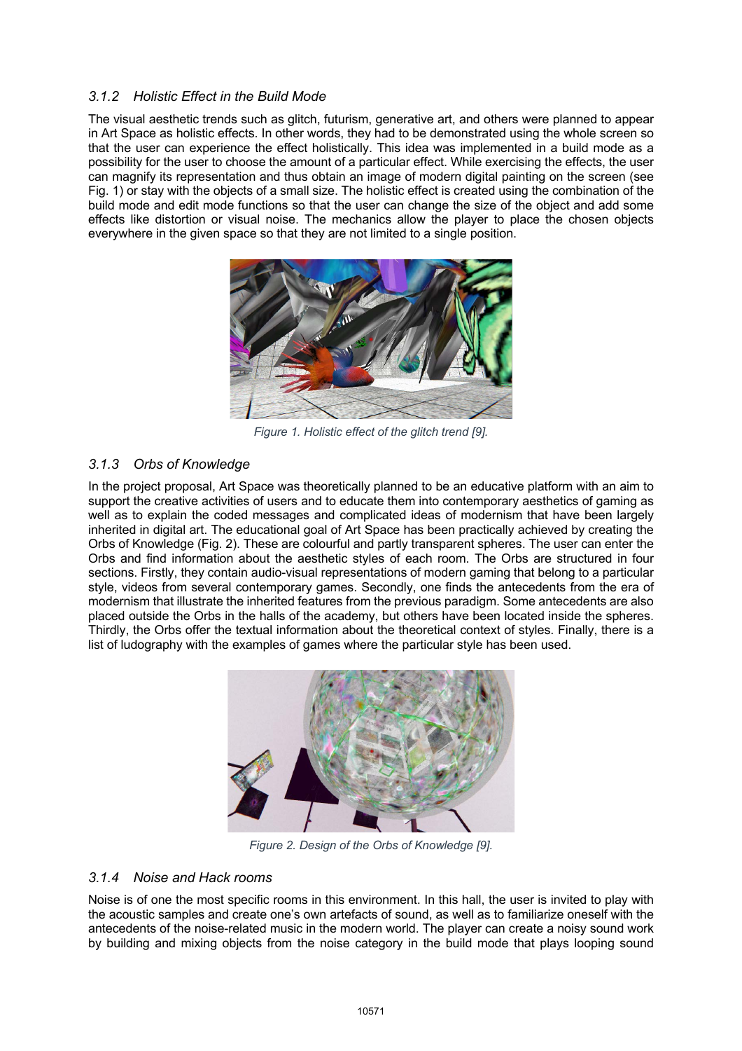#### *3.1.2 Holistic Effect in the Build Mode*

The visual aesthetic trends such as glitch, futurism, generative art, and others were planned to appear in Art Space as holistic effects. In other words, they had to be demonstrated using the whole screen so that the user can experience the effect holistically. This idea was implemented in a build mode as a possibility for the user to choose the amount of a particular effect. While exercising the effects, the user can magnify its representation and thus obtain an image of modern digital painting on the screen (see Fig. 1) or stay with the objects of a small size. The holistic effect is created using the combination of the build mode and edit mode functions so that the user can change the size of the object and add some effects like distortion or visual noise. The mechanics allow the player to place the chosen objects everywhere in the given space so that they are not limited to a single position.



*Figure 1. Holistic effect of the glitch trend [9].*

### *3.1.3 Orbs of Knowledge*

In the project proposal, Art Space was theoretically planned to be an educative platform with an aim to support the creative activities of users and to educate them into contemporary aesthetics of gaming as well as to explain the coded messages and complicated ideas of modernism that have been largely inherited in digital art. The educational goal of Art Space has been practically achieved by creating the Orbs of Knowledge (Fig. 2). These are colourful and partly transparent spheres. The user can enter the Orbs and find information about the aesthetic styles of each room. The Orbs are structured in four sections. Firstly, they contain audio-visual representations of modern gaming that belong to a particular style, videos from several contemporary games. Secondly, one finds the antecedents from the era of modernism that illustrate the inherited features from the previous paradigm. Some antecedents are also placed outside the Orbs in the halls of the academy, but others have been located inside the spheres. Thirdly, the Orbs offer the textual information about the theoretical context of styles. Finally, there is a list of ludography with the examples of games where the particular style has been used.



*Figure 2. Design of the Orbs of Knowledge [9].*

#### *3.1.4 Noise and Hack rooms*

Noise is of one the most specific rooms in this environment. In this hall, the user is invited to play with the acoustic samples and create one's own artefacts of sound, as well as to familiarize oneself with the antecedents of the noise-related music in the modern world. The player can create a noisy sound work by building and mixing objects from the noise category in the build mode that plays looping sound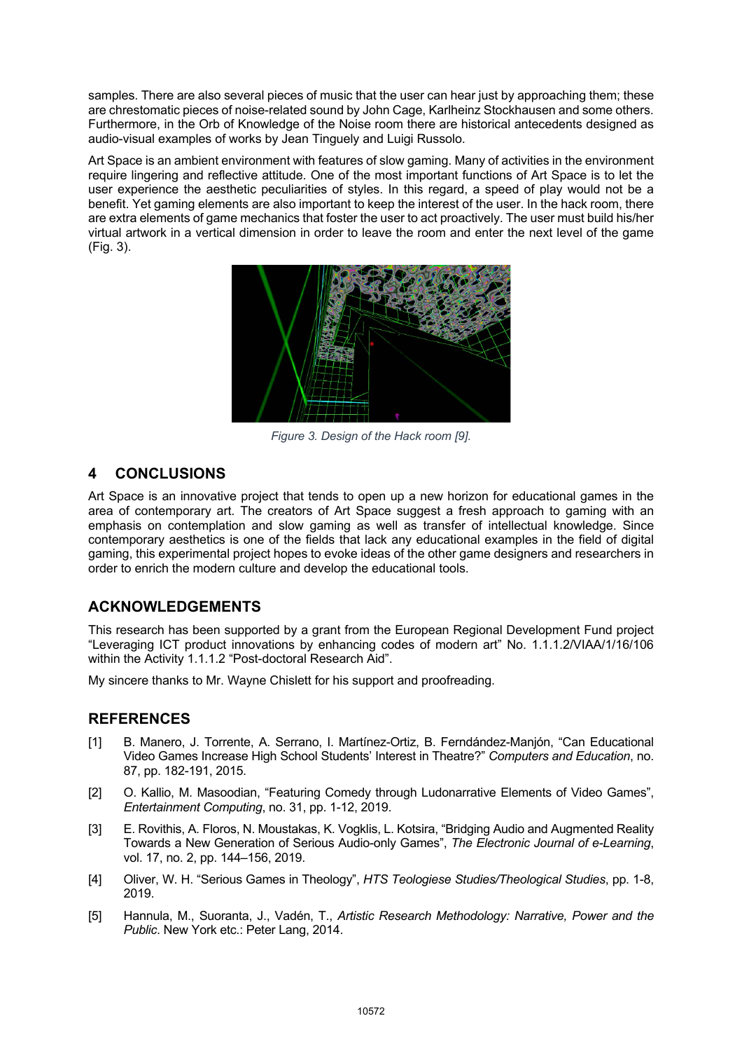samples. There are also several pieces of music that the user can hear just by approaching them; these are chrestomatic pieces of noise-related sound by John Cage, Karlheinz Stockhausen and some others. Furthermore, in the Orb of Knowledge of the Noise room there are historical antecedents designed as audio-visual examples of works by Jean Tinguely and Luigi Russolo.

Art Space is an ambient environment with features of slow gaming. Many of activities in the environment require lingering and reflective attitude. One of the most important functions of Art Space is to let the user experience the aesthetic peculiarities of styles. In this regard, a speed of play would not be a benefit. Yet gaming elements are also important to keep the interest of the user. In the hack room, there are extra elements of game mechanics that foster the user to act proactively. The user must build his/her virtual artwork in a vertical dimension in order to leave the room and enter the next level of the game (Fig. 3).



*Figure 3. Design of the Hack room [9].*

## **4 CONCLUSIONS**

Art Space is an innovative project that tends to open up a new horizon for educational games in the area of contemporary art. The creators of Art Space suggest a fresh approach to gaming with an emphasis on contemplation and slow gaming as well as transfer of intellectual knowledge. Since contemporary aesthetics is one of the fields that lack any educational examples in the field of digital gaming, this experimental project hopes to evoke ideas of the other game designers and researchers in order to enrich the modern culture and develop the educational tools.

## **ACKNOWLEDGEMENTS**

This research has been supported by a grant from the European Regional Development Fund project "Leveraging ICT product innovations by enhancing codes of modern art" No. 1.1.1.2/VIAA/1/16/106 within the Activity 1.1.1.2 "Post-doctoral Research Aid".

My sincere thanks to Mr. Wayne Chislett for his support and proofreading.

#### **REFERENCES**

- [1] B. Manero, J. Torrente, A. Serrano, I. Martínez-Ortiz, B. Ferndández-Manjón, "Can Educational Video Games Increase High School Students' Interest in Theatre?" *Computers and Education*, no. 87, pp. 182-191, 2015.
- [2] O. Kallio, M. Masoodian, "Featuring Comedy through Ludonarrative Elements of Video Games", *Entertainment Computing*, no. 31, pp. 1-12, 2019.
- [3] E. Rovithis, A. Floros, N. Moustakas, K. Vogklis, L. Kotsira, "Bridging Audio and Augmented Reality Towards a New Generation of Serious Audio-only Games", *The Electronic Journal of e-Learning*, vol. 17, no. 2, pp. 144–156, 2019.
- [4] Oliver, W. H. "Serious Games in Theology", *HTS Teologiese Studies/Theological Studies*, pp. 1-8, 2019.
- [5] Hannula, M., Suoranta, J., Vadén, T., *Artistic Research Methodology: Narrative, Power and the Public*. New York etc.: Peter Lang, 2014.